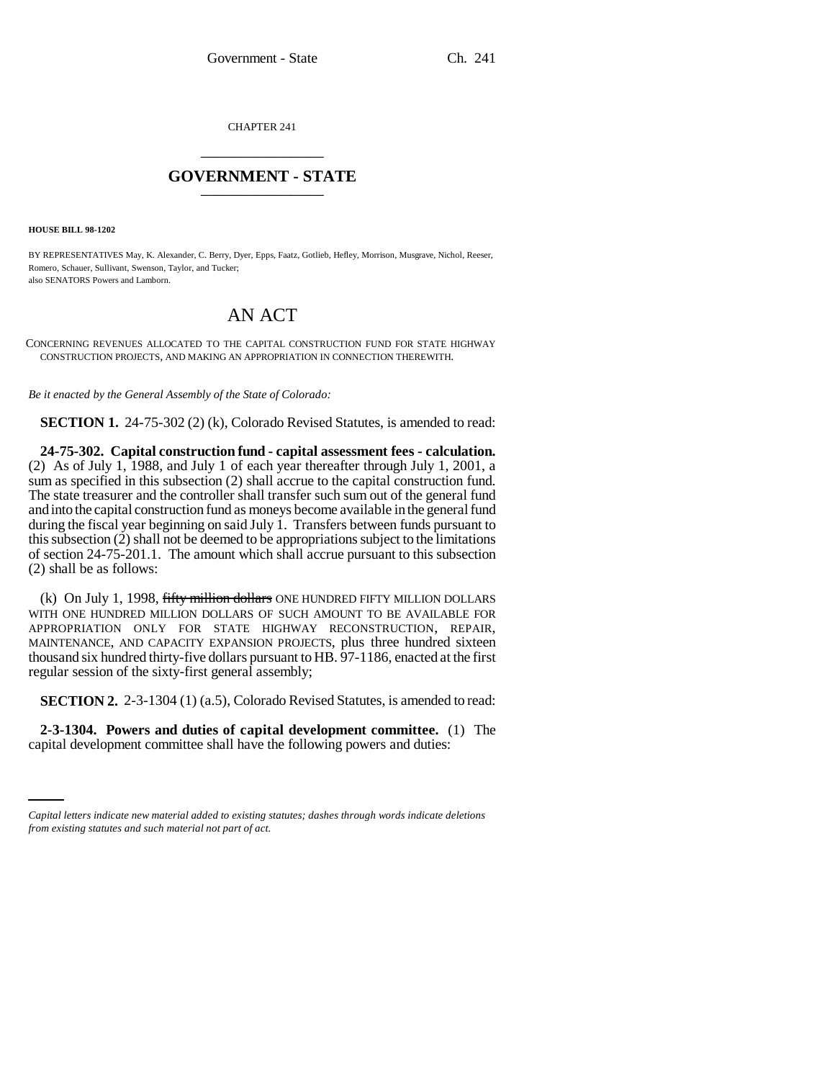CHAPTER 241 \_\_\_\_\_\_\_\_\_\_\_\_\_\_\_

## **GOVERNMENT - STATE** \_\_\_\_\_\_\_\_\_\_\_\_\_\_\_

**HOUSE BILL 98-1202**

BY REPRESENTATIVES May, K. Alexander, C. Berry, Dyer, Epps, Faatz, Gotlieb, Hefley, Morrison, Musgrave, Nichol, Reeser, Romero, Schauer, Sullivant, Swenson, Taylor, and Tucker; also SENATORS Powers and Lamborn.

## AN ACT

CONCERNING REVENUES ALLOCATED TO THE CAPITAL CONSTRUCTION FUND FOR STATE HIGHWAY CONSTRUCTION PROJECTS, AND MAKING AN APPROPRIATION IN CONNECTION THEREWITH.

*Be it enacted by the General Assembly of the State of Colorado:*

**SECTION 1.** 24-75-302 (2) (k), Colorado Revised Statutes, is amended to read:

**24-75-302. Capital construction fund - capital assessment fees - calculation.** (2) As of July 1, 1988, and July 1 of each year thereafter through July 1, 2001, a sum as specified in this subsection (2) shall accrue to the capital construction fund. The state treasurer and the controller shall transfer such sum out of the general fund and into the capital construction fund as moneys become available in the general fund during the fiscal year beginning on said July 1. Transfers between funds pursuant to this subsection (2) shall not be deemed to be appropriations subject to the limitations of section 24-75-201.1. The amount which shall accrue pursuant to this subsection (2) shall be as follows:

(k) On July 1, 1998, fifty million dollars ONE HUNDRED FIFTY MILLION DOLLARS WITH ONE HUNDRED MILLION DOLLARS OF SUCH AMOUNT TO BE AVAILABLE FOR APPROPRIATION ONLY FOR STATE HIGHWAY RECONSTRUCTION, REPAIR, MAINTENANCE, AND CAPACITY EXPANSION PROJECTS, plus three hundred sixteen thousand six hundred thirty-five dollars pursuant to HB. 97-1186, enacted at the first regular session of the sixty-first general assembly;

**SECTION 2.** 2-3-1304 (1) (a.5), Colorado Revised Statutes, is amended to read:

 **2-3-1304. Powers and duties of capital development committee.** (1) The capital development committee shall have the following powers and duties:

*Capital letters indicate new material added to existing statutes; dashes through words indicate deletions from existing statutes and such material not part of act.*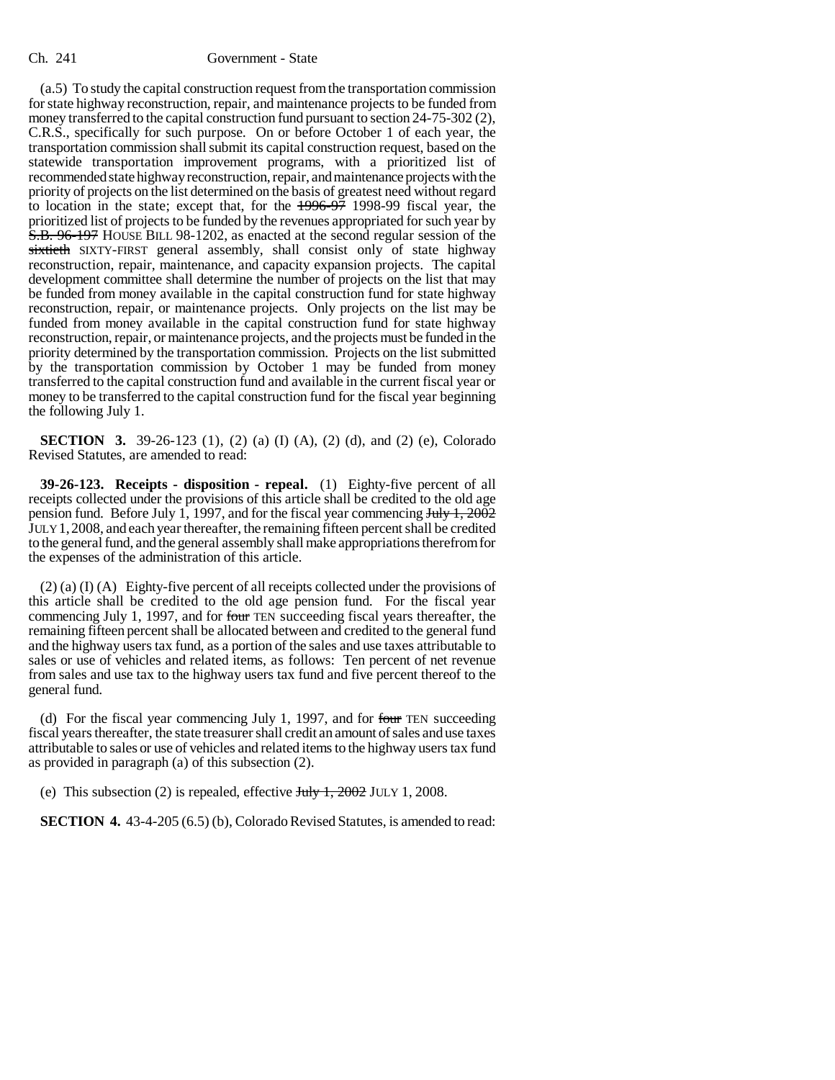(a.5) To study the capital construction request from the transportation commission for state highway reconstruction, repair, and maintenance projects to be funded from money transferred to the capital construction fund pursuant to section 24-75-302 (2), C.R.S., specifically for such purpose. On or before October 1 of each year, the transportation commission shall submit its capital construction request, based on the statewide transportation improvement programs, with a prioritized list of recommended state highway reconstruction, repair, and maintenance projects with the priority of projects on the list determined on the basis of greatest need without regard to location in the state; except that, for the 1996-97 1998-99 fiscal year, the prioritized list of projects to be funded by the revenues appropriated for such year by S.B. 96-197 HOUSE BILL 98-1202, as enacted at the second regular session of the sixtieth SIXTY-FIRST general assembly, shall consist only of state highway reconstruction, repair, maintenance, and capacity expansion projects. The capital development committee shall determine the number of projects on the list that may be funded from money available in the capital construction fund for state highway reconstruction, repair, or maintenance projects. Only projects on the list may be funded from money available in the capital construction fund for state highway reconstruction, repair, or maintenance projects, and the projects must be funded in the priority determined by the transportation commission. Projects on the list submitted by the transportation commission by October 1 may be funded from money transferred to the capital construction fund and available in the current fiscal year or money to be transferred to the capital construction fund for the fiscal year beginning the following July 1.

**SECTION 3.** 39-26-123 (1), (2) (a) (I) (A), (2) (d), and (2) (e), Colorado Revised Statutes, are amended to read:

**39-26-123. Receipts - disposition - repeal.** (1) Eighty-five percent of all receipts collected under the provisions of this article shall be credited to the old age pension fund. Before July 1, 1997, and for the fiscal year commencing  $J_{\text{uly}}$  1, 2002 JULY 1,2008, and each year thereafter, the remaining fifteen percent shall be credited to the general fund, and the general assembly shall make appropriations therefrom for the expenses of the administration of this article.

(2) (a) (I) (A) Eighty-five percent of all receipts collected under the provisions of this article shall be credited to the old age pension fund. For the fiscal year commencing July 1, 1997, and for four TEN succeeding fiscal years thereafter, the remaining fifteen percent shall be allocated between and credited to the general fund and the highway users tax fund, as a portion of the sales and use taxes attributable to sales or use of vehicles and related items, as follows: Ten percent of net revenue from sales and use tax to the highway users tax fund and five percent thereof to the general fund.

(d) For the fiscal year commencing July 1, 1997, and for four TEN succeeding fiscal years thereafter, the state treasurer shall credit an amount of sales and use taxes attributable to sales or use of vehicles and related items to the highway users tax fund as provided in paragraph (a) of this subsection (2).

(e) This subsection (2) is repealed, effective  $\frac{\text{July }1, 2002}{1, 2002}$  JULY 1, 2008.

**SECTION 4.** 43-4-205 (6.5) (b), Colorado Revised Statutes, is amended to read: